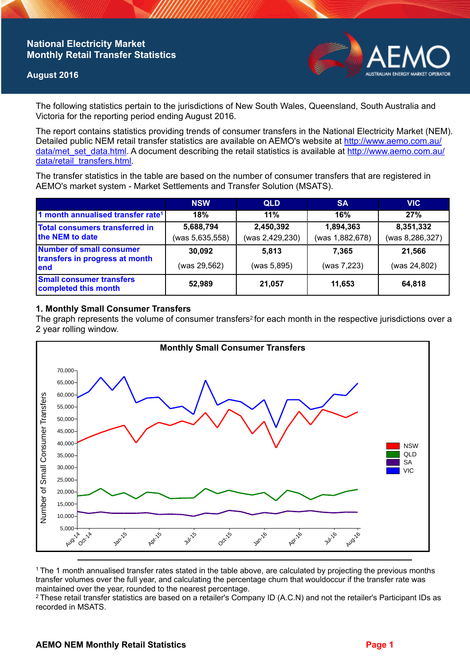## **National Electricity Market Monthly Retail Transfer Statistics**

### **August 2016**



The following statistics pertain to the jurisdictions of New South Wales, Queensland, South Australia and Victoria for the reporting period ending August 2016.

The report contains statistics providing trends of consumer transfers in the National Electricity Market (NEM). Detailed public NEM retail transfer statistics are available on AEMO's website at [http://www.aemo.com.au/](http://www.aemo.com.au/data/met_set_data.html) [data/met\\_set\\_data.html](http://www.aemo.com.au/data/met_set_data.html). A document describing the retail statistics is available at [http://www.aemo.com.au/](http://www.aemo.com.au/data/retail_transfers.html) [data/retail\\_transfers.html](http://www.aemo.com.au/data/retail_transfers.html).

The transfer statistics in the table are based on the number of consumer transfers that are registered in AEMO's market system - Market Settlements and Transfer Solution (MSATS).

|                                                                    | <b>NSW</b>                   | <b>QLD</b>                   | <b>SA</b>                    | <b>VIC</b>                   |
|--------------------------------------------------------------------|------------------------------|------------------------------|------------------------------|------------------------------|
| 1 month annualised transfer rate <sup>1</sup>                      | 18%                          | 11%                          | 16%                          | 27%                          |
| <b>Total consumers transferred in</b><br>the NEM to date           | 5,688,794<br>(was 5,635,558) | 2,450,392<br>(was 2,429,230) | 1,894,363<br>(was 1,882,678) | 8,351,332<br>(was 8,286,327) |
| Number of small consumer<br>transfers in progress at month<br>lend | 30,092                       | 5.813                        | 7.365                        | 21,566                       |
|                                                                    | (was 29,562)                 | (was 5,895)                  | (was 7,223)                  | (was 24,802)                 |
| <b>Small consumer transfers</b><br>completed this month            | 52,989                       | 21,057                       | 11,653                       | 64,818                       |

### **1. Monthly Small Consumer Transfers**

The graph represents the volume of consumer transfers<sup>2</sup> for each month in the respective jurisdictions over a 2 year rolling window.



<sup>1</sup>The 1 month annualised transfer rates stated in the table above, are calculated by projecting the previous months transfer volumes over the full year, and calculating the percentage churn that wouldoccur if the transfer rate was maintained over the year, rounded to the nearest percentage.

<sup>2</sup> These retail transfer statistics are based on a retailer's Company ID (A.C.N) and not the retailer's Participant IDs as recorded in MSATS.